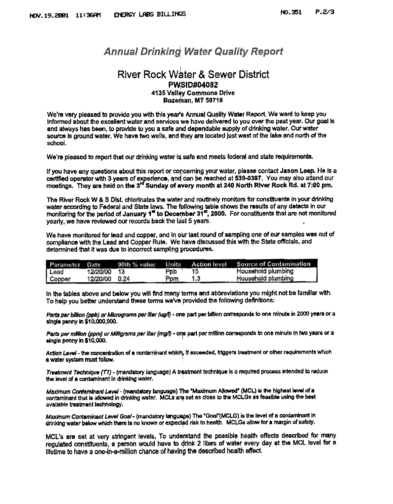## **Annual Drinking Water Quality Report**

## **River Rock Water & Sewer District PWSID#04082** 4135 Valley Commons Drive Bozeman. MT 59718

We're very pleased to provide you with this year's Annual Quality Water Report. We want to keep you Informed about the excellent water and services we have delivered to you over the past year. Our goal is and always has been, to provide to you a safe and dependable supply of drinking water. Our water source is ground water. We have two wells, and they are located just west of the lake and north of the school.

We're pleased to report that our drinking water is safe and meets federal and state requirements.

If you have any questions about this report or concerning your water, please contact Jason Leep. He is a certified operator with 3 years of experience, and can be reached at 539-0397, You may also attend our meetings. They are held on the 3<sup>rd</sup> Sunday of every month at 240 North River Rock Rd. at 7:00 pm.

The River Rock W & S Dist. chlorinates the water and routtnely monitors for constituents in your drinking water according to Federal and State laws. The following table shows the results of any detects in our monitoring for the period of January  $1^{\pi}$  to December  $31^{\pi}$ , 2000. For constituents that are not monitored yearly, we have reviewed our records back the last 5 years.

We have monitored for lead and copper, and in our last round of sampling one of our samples was out of compliance with the Lead and Copper Rule. We have discussed this with the State officials, and determined that it was due to incorrect sampling procedures.

| Parameter Date |          | 90th % value | Units |     | <b>Action level Source of Contamination</b> |
|----------------|----------|--------------|-------|-----|---------------------------------------------|
| Lead           | 12/20/00 | - 13         | Ppb   |     | <b>Household plumbing</b>                   |
| Copper         | 12/20/00 | 0.24         | Ppm   | 1,3 | Household plumbing                          |

In the tables above and below you will find many terms and abbreviations you might not be familiar with. To help you better understand these terms we've provided the following definitions;

Parts per billion (ppb) or Micrograms per liter (ug/t) - one part per billion corresponds to one minute in 2000 years or a single penny in \$10,000,000.

Parts per mililon (ppm) or Milligrams per liter (mg/l) - one part per million corresponds to one minute In two years or a<br>single penny in \$10.000.

Action Level - the concentration of a contaminant which, if exceeded, triggers treatment or other requirements which a water system must follow.

Treatment Technique (TT) - (mandatory language) A treatment technique is a required process intended to reduce<br>the level of a contaminant in drinking water.

Maximum Contaminant Level - (mandatory language) The "Maximum Allowed" (MCL) is the highest level of a contaminant that is allowed in drinking water. MCLs are set as close to the MCLGs as feasible using the best available treatment technology.

Maximum Contaminant Level Goal - (mandatory language) The "Goal"(MCLG) is the level of a contaminant in drinking water below which there Is no known or expected risk to health. MCLGs allow for a margin of safety.

MCL's are set at very stringent levels. To understand the possible health effects described for many regulated constituents, a person would have to drink 2 liters of water every day at the MCL level for a lifetime to have a one-in-a-million chance of having the described health effect.